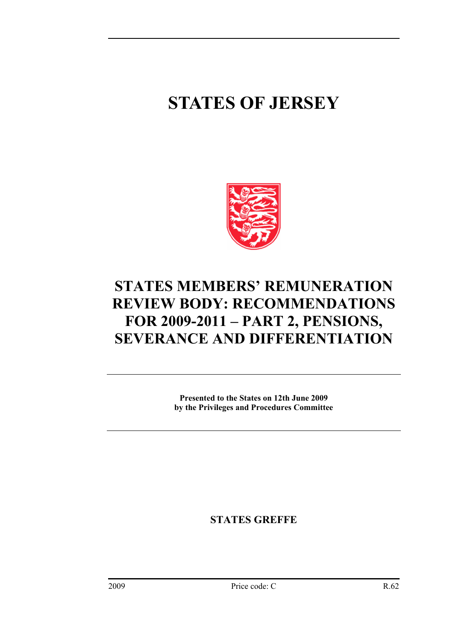## **STATES OF JERSEY**



## **STATES MEMBERS' REMUNERATION REVIEW BODY: RECOMMENDATIONS FOR 2009-2011 – PART 2, PENSIONS, SEVERANCE AND DIFFERENTIATION**

**Presented to the States on 12th June 2009 by the Privileges and Procedures Committee** 

**STATES GREFFE**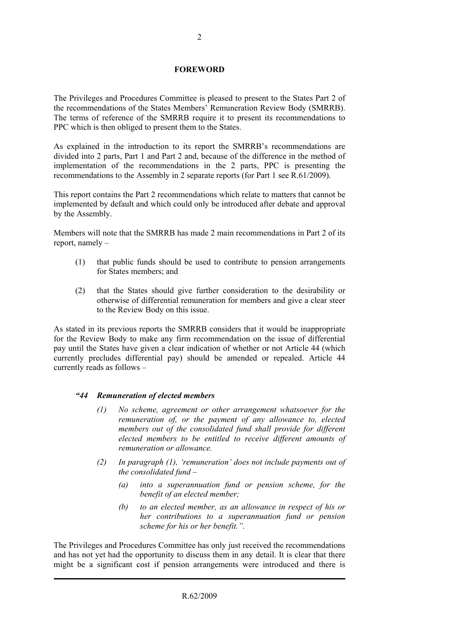#### **FOREWORD**

The Privileges and Procedures Committee is pleased to present to the States Part 2 of the recommendations of the States Members' Remuneration Review Body (SMRRB). The terms of reference of the SMRRB require it to present its recommendations to PPC which is then obliged to present them to the States.

As explained in the introduction to its report the SMRRB's recommendations are divided into 2 parts, Part 1 and Part 2 and, because of the difference in the method of implementation of the recommendations in the 2 parts, PPC is presenting the recommendations to the Assembly in 2 separate reports (for Part 1 see R.61/2009).

This report contains the Part 2 recommendations which relate to matters that cannot be implemented by default and which could only be introduced after debate and approval by the Assembly.

Members will note that the SMRRB has made 2 main recommendations in Part 2 of its report, namely –

- (1) that public funds should be used to contribute to pension arrangements for States members; and
- (2) that the States should give further consideration to the desirability or otherwise of differential remuneration for members and give a clear steer to the Review Body on this issue.

As stated in its previous reports the SMRRB considers that it would be inappropriate for the Review Body to make any firm recommendation on the issue of differential pay until the States have given a clear indication of whether or not Article 44 (which currently precludes differential pay) should be amended or repealed. Article 44 currently reads as follows –

#### *"44 Remuneration of elected members*

- *(1) No scheme, agreement or other arrangement whatsoever for the remuneration of, or the payment of any allowance to, elected members out of the consolidated fund shall provide for different elected members to be entitled to receive different amounts of remuneration or allowance.*
- *(2) In paragraph (1), 'remuneration' does not include payments out of the consolidated fund –* 
	- *(a) into a superannuation fund or pension scheme, for the benefit of an elected member;*
	- *(b) to an elected member, as an allowance in respect of his or her contributions to a superannuation fund or pension scheme for his or her benefit.".*

The Privileges and Procedures Committee has only just received the recommendations and has not yet had the opportunity to discuss them in any detail. It is clear that there might be a significant cost if pension arrangements were introduced and there is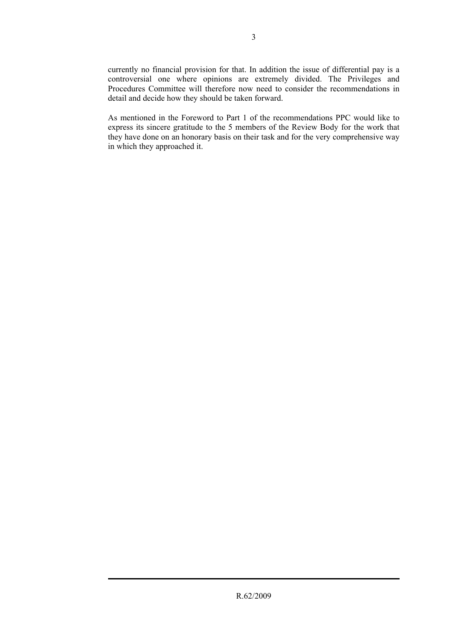currently no financial provision for that. In addition the issue of differential pay is a controversial one where opinions are extremely divided. The Privileges and Procedures Committee will therefore now need to consider the recommendations in detail and decide how they should be taken forward.

As mentioned in the Foreword to Part 1 of the recommendations PPC would like to express its sincere gratitude to the 5 members of the Review Body for the work that they have done on an honorary basis on their task and for the very comprehensive way in which they approached it.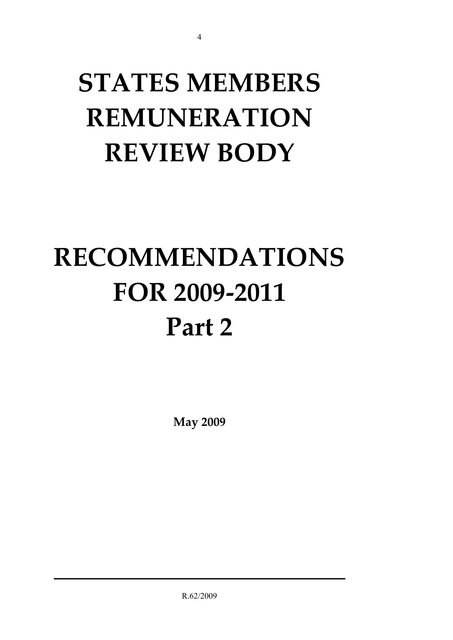# **STATES MEMBERS REMUNERATION REVIEW BODY**

4

# **RECOMMENDATIONS FOR 2009-2011 Part 2**

**May 2009** 

R.62/2009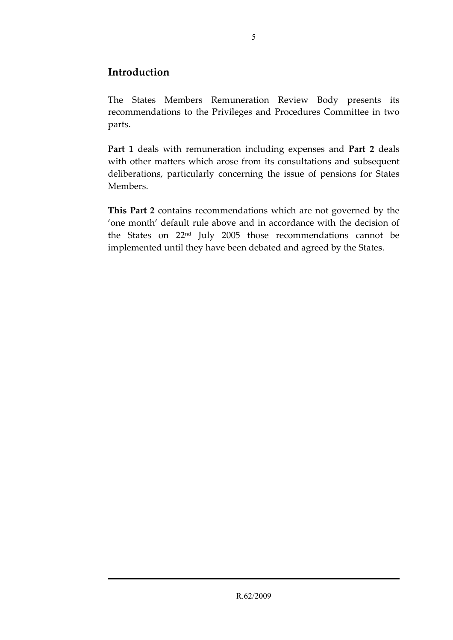#### **Introduction**

The States Members Remuneration Review Body presents its recommendations to the Privileges and Procedures Committee in two parts.

**Part 1** deals with remuneration including expenses and **Part 2** deals with other matters which arose from its consultations and subsequent deliberations, particularly concerning the issue of pensions for States Members.

**This Part 2** contains recommendations which are not governed by the 'one month' default rule above and in accordance with the decision of the States on 22nd July 2005 those recommendations cannot be implemented until they have been debated and agreed by the States.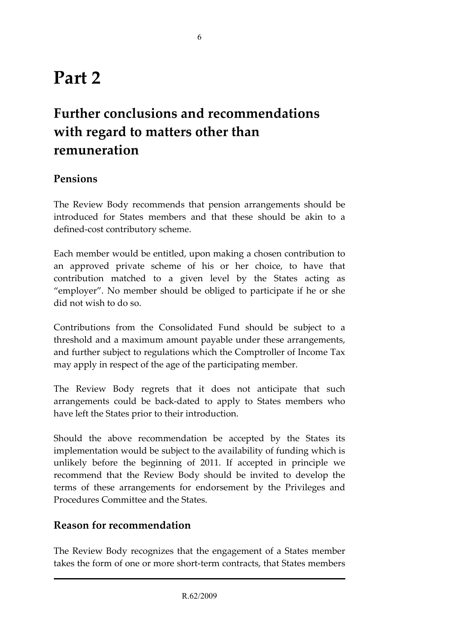## **Part 2**

## **Further conclusions and recommendations with regard to matters other than remuneration**

#### **Pensions**

The Review Body recommends that pension arrangements should be introduced for States members and that these should be akin to a defined-cost contributory scheme.

Each member would be entitled, upon making a chosen contribution to an approved private scheme of his or her choice, to have that contribution matched to a given level by the States acting as "employer". No member should be obliged to participate if he or she did not wish to do so.

Contributions from the Consolidated Fund should be subject to a threshold and a maximum amount payable under these arrangements, and further subject to regulations which the Comptroller of Income Tax may apply in respect of the age of the participating member.

The Review Body regrets that it does not anticipate that such arrangements could be back-dated to apply to States members who have left the States prior to their introduction.

Should the above recommendation be accepted by the States its implementation would be subject to the availability of funding which is unlikely before the beginning of 2011. If accepted in principle we recommend that the Review Body should be invited to develop the terms of these arrangements for endorsement by the Privileges and Procedures Committee and the States.

#### **Reason for recommendation**

The Review Body recognizes that the engagement of a States member takes the form of one or more short-term contracts, that States members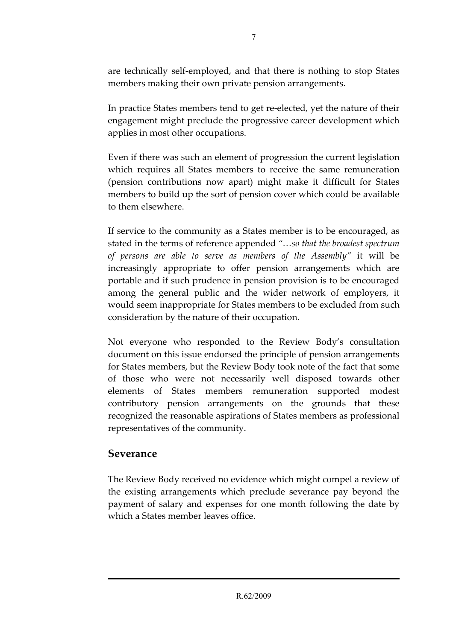are technically self-employed, and that there is nothing to stop States members making their own private pension arrangements.

In practice States members tend to get re-elected, yet the nature of their engagement might preclude the progressive career development which applies in most other occupations.

Even if there was such an element of progression the current legislation which requires all States members to receive the same remuneration (pension contributions now apart) might make it difficult for States members to build up the sort of pension cover which could be available to them elsewhere.

If service to the community as a States member is to be encouraged, as stated in the terms of reference appended *"…so that the broadest spectrum of persons are able to serve as members of the Assembly"* it will be increasingly appropriate to offer pension arrangements which are portable and if such prudence in pension provision is to be encouraged among the general public and the wider network of employers, it would seem inappropriate for States members to be excluded from such consideration by the nature of their occupation.

Not everyone who responded to the Review Body's consultation document on this issue endorsed the principle of pension arrangements for States members, but the Review Body took note of the fact that some of those who were not necessarily well disposed towards other elements of States members remuneration supported modest contributory pension arrangements on the grounds that these recognized the reasonable aspirations of States members as professional representatives of the community.

#### **Severance**

The Review Body received no evidence which might compel a review of the existing arrangements which preclude severance pay beyond the payment of salary and expenses for one month following the date by which a States member leaves office.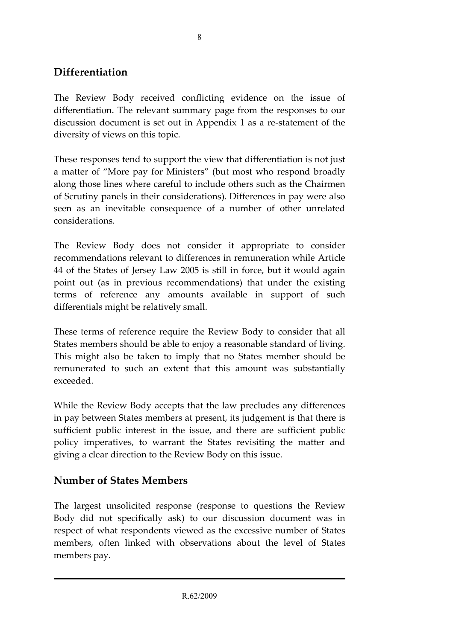#### **Differentiation**

The Review Body received conflicting evidence on the issue of differentiation. The relevant summary page from the responses to our discussion document is set out in Appendix 1 as a re-statement of the diversity of views on this topic.

These responses tend to support the view that differentiation is not just a matter of "More pay for Ministers" (but most who respond broadly along those lines where careful to include others such as the Chairmen of Scrutiny panels in their considerations). Differences in pay were also seen as an inevitable consequence of a number of other unrelated considerations.

The Review Body does not consider it appropriate to consider recommendations relevant to differences in remuneration while Article 44 of the States of Jersey Law 2005 is still in force, but it would again point out (as in previous recommendations) that under the existing terms of reference any amounts available in support of such differentials might be relatively small.

These terms of reference require the Review Body to consider that all States members should be able to enjoy a reasonable standard of living. This might also be taken to imply that no States member should be remunerated to such an extent that this amount was substantially exceeded.

While the Review Body accepts that the law precludes any differences in pay between States members at present, its judgement is that there is sufficient public interest in the issue, and there are sufficient public policy imperatives, to warrant the States revisiting the matter and giving a clear direction to the Review Body on this issue.

#### **Number of States Members**

The largest unsolicited response (response to questions the Review Body did not specifically ask) to our discussion document was in respect of what respondents viewed as the excessive number of States members, often linked with observations about the level of States members pay.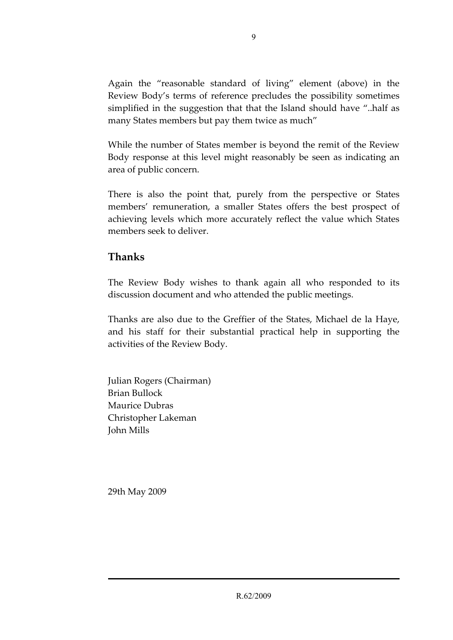Again the "reasonable standard of living" element (above) in the Review Body's terms of reference precludes the possibility sometimes simplified in the suggestion that that the Island should have "..half as many States members but pay them twice as much"

While the number of States member is beyond the remit of the Review Body response at this level might reasonably be seen as indicating an area of public concern.

There is also the point that, purely from the perspective or States members' remuneration, a smaller States offers the best prospect of achieving levels which more accurately reflect the value which States members seek to deliver.

#### **Thanks**

The Review Body wishes to thank again all who responded to its discussion document and who attended the public meetings.

Thanks are also due to the Greffier of the States, Michael de la Haye, and his staff for their substantial practical help in supporting the activities of the Review Body.

Julian Rogers (Chairman) Brian Bullock Maurice Dubras Christopher Lakeman John Mills

29th May 2009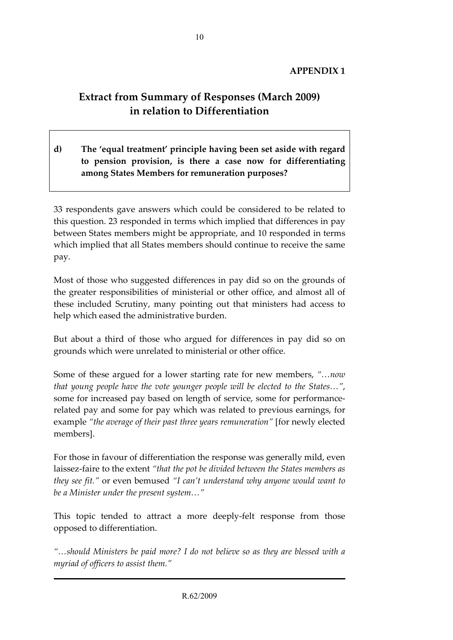### **Extract from Summary of Responses (March 2009) in relation to Differentiation**

**d) The 'equal treatment' principle having been set aside with regard to pension provision, is there a case now for differentiating among States Members for remuneration purposes?** 

33 respondents gave answers which could be considered to be related to this question. 23 responded in terms which implied that differences in pay between States members might be appropriate, and 10 responded in terms which implied that all States members should continue to receive the same pay.

Most of those who suggested differences in pay did so on the grounds of the greater responsibilities of ministerial or other office, and almost all of these included Scrutiny, many pointing out that ministers had access to help which eased the administrative burden.

But about a third of those who argued for differences in pay did so on grounds which were unrelated to ministerial or other office.

Some of these argued for a lower starting rate for new members, *"…now that young people have the vote younger people will be elected to the States…"*, some for increased pay based on length of service, some for performancerelated pay and some for pay which was related to previous earnings, for example *"the average of their past three years remuneration"* [for newly elected members].

For those in favour of differentiation the response was generally mild, even laissez-faire to the extent *"that the pot be divided between the States members as they see fit."* or even bemused *"I can't understand why anyone would want to be a Minister under the present system…"*

This topic tended to attract a more deeply-felt response from those opposed to differentiation.

*"…should Ministers be paid more? I do not believe so as they are blessed with a myriad of officers to assist them."*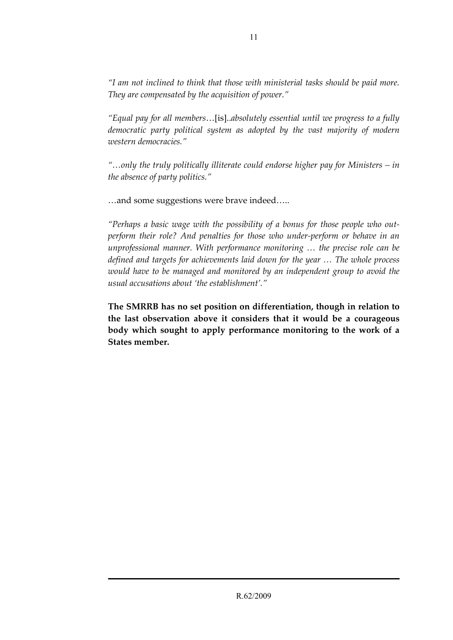*"I am not inclined to think that those with ministerial tasks should be paid more. They are compensated by the acquisition of power."* 

*"Equal pay for all members*…[is]..*absolutely essential until we progress to a fully democratic party political system as adopted by the vast majority of modern western democracies."* 

*"…only the truly politically illiterate could endorse higher pay for Ministers – in the absence of party politics."* 

…and some suggestions were brave indeed…..

*"Perhaps a basic wage with the possibility of a bonus for those people who outperform their role? And penalties for those who under-perform or behave in an unprofessional manner. With performance monitoring … the precise role can be defined and targets for achievements laid down for the year … The whole process would have to be managed and monitored by an independent group to avoid the usual accusations about 'the establishment'."* 

**The SMRRB has no set position on differentiation, though in relation to the last observation above it considers that it would be a courageous body which sought to apply performance monitoring to the work of a States member.**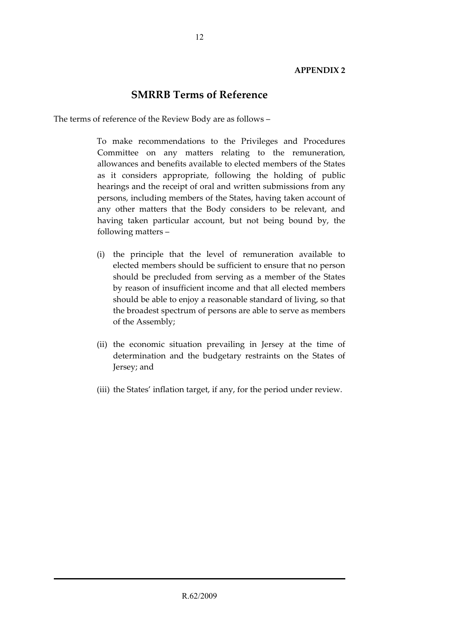#### **SMRRB Terms of Reference**

The terms of reference of the Review Body are as follows –

 To make recommendations to the Privileges and Procedures Committee on any matters relating to the remuneration, allowances and benefits available to elected members of the States as it considers appropriate, following the holding of public hearings and the receipt of oral and written submissions from any persons, including members of the States, having taken account of any other matters that the Body considers to be relevant, and having taken particular account, but not being bound by, the following matters –

- (i) the principle that the level of remuneration available to elected members should be sufficient to ensure that no person should be precluded from serving as a member of the States by reason of insufficient income and that all elected members should be able to enjoy a reasonable standard of living, so that the broadest spectrum of persons are able to serve as members of the Assembly;
- (ii) the economic situation prevailing in Jersey at the time of determination and the budgetary restraints on the States of Jersey; and
- (iii) the States' inflation target, if any, for the period under review.